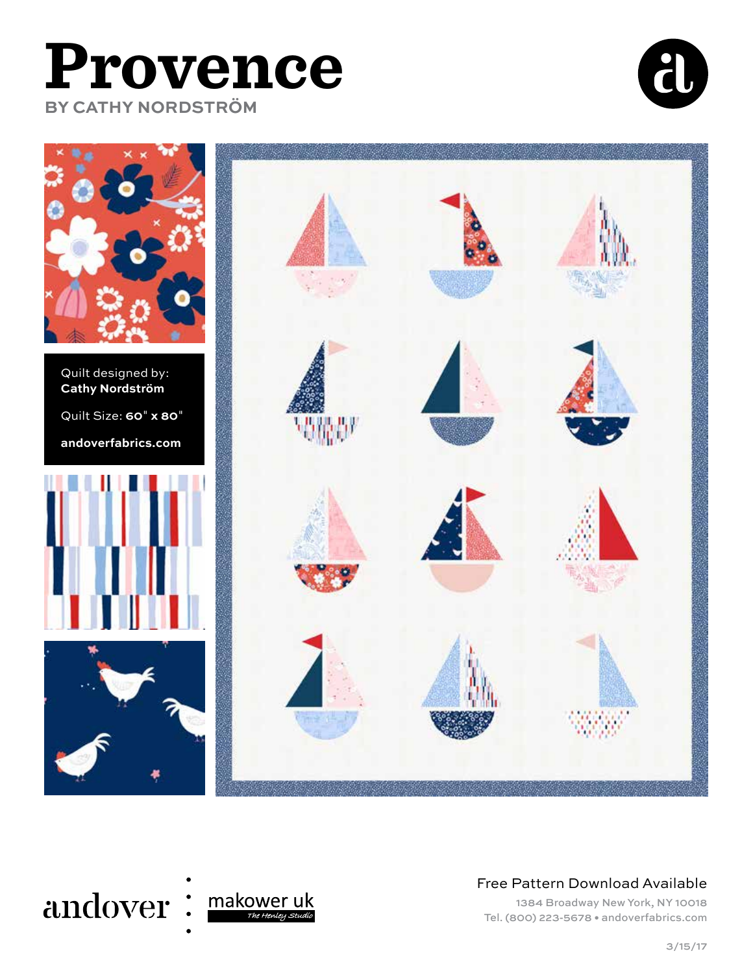# **Provence BY CATHY NORDSTRÖM**





Quilt designed by: **Cathy Nordström** Quilt Size: **60**" **x 80**" **andoverfabrics.com**







#### Free Pattern Download Available

1384 Broadway New York, NY 10018 Tel. (800) 223-5678 • andoverfabrics.com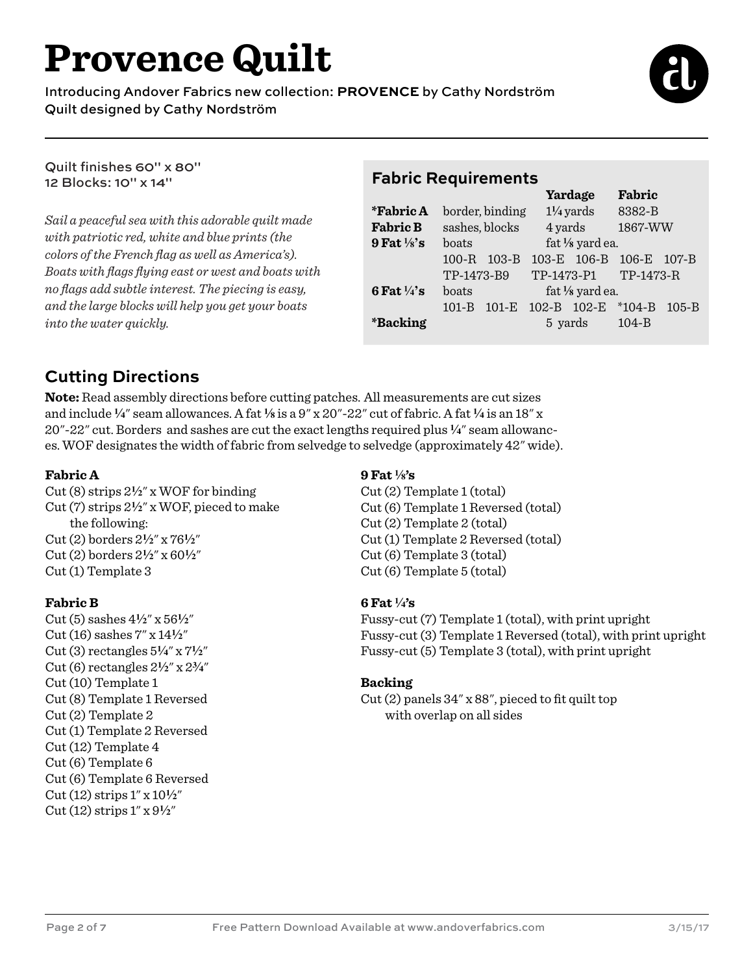# **Provence Quilt**

Introducing Andover Fabrics new collection: **PROVENCE** by Cathy Nordström Quilt designed by Cathy Nordström



Quilt finishes 60" x 80" 12 Blocks: 10" x 14"

*Sail a peaceful sea with this adorable quilt made with patriotic red, white and blue prints (the colors of the French flag as well as America's). Boats with flags flying east or west and boats with no flags add subtle interest. The piecing is easy, and the large blocks will help you get your boats into the water quickly.* 

#### **Fabric Requirements Yardage Fabric**

|                        |                | $\ldots$         |                      |                    | - WM - 10               |           |
|------------------------|----------------|------------------|----------------------|--------------------|-------------------------|-----------|
| <i>*</i> Fabric A      |                | border, binding  | $1\frac{1}{4}$ yards |                    | 8382-B                  |           |
| <b>Fabric B</b>        | sashes, blocks |                  | 4 yards              |                    | 1867-WW                 |           |
| 9 Fat $\frac{1}{8}$ 's | boats          |                  | fat 1/8 yard ea.     |                    |                         |           |
|                        | $100-R$        | $103 - B$        |                      |                    | 103-E 106-B 106-E 107-B |           |
|                        | TP-1473-B9     |                  | TP-1473-P1 TP-1473-R |                    |                         |           |
| 6 Fat $\frac{1}{4}$ 's | boats          | fat 1/8 yard ea. |                      |                    |                         |           |
|                        | $101 - B$      | $101-E$          |                      | 102-B 102-E *104-B |                         | $105 - B$ |
| <i><b>*Backing</b></i> |                |                  | 5 yards<br>– 104-B   |                    |                         |           |
|                        |                |                  |                      |                    |                         |           |

## **Cutting Directions**

**Note:** Read assembly directions before cutting patches. All measurements are cut sizes and include **4**" seam allowances. A fat **8** is a 9" x 20"-22" cut of fabric. A fat **4** is an 18" x 20"-22" cut. Borders and sashes are cut the exact lengths required plus **4**" seam allowances. WOF designates the width of fabric from selvedge to selvedge (approximately 42" wide).

#### **Fabric A**

Cut (8) strips 2**2**" x WOF for binding Cut (7) strips 2**2**" x WOF, pieced to make the following: Cut (2) borders 2**2**" x 76**2**" Cut (2) borders 2**2**" x 60**2**" Cut (1) Template 3

#### **Fabric B**

Cut (5) sashes 4**2**" x 56**2**" Cut (16) sashes  $7''$  x  $14\frac{1}{2}''$ Cut (3) rectangles 5**4**" x 7**2**" Cut (6) rectangles 2**2**" x 2**w**" Cut (10) Template 1 Cut (8) Template 1 Reversed Cut (2) Template 2 Cut (1) Template 2 Reversed Cut (12) Template 4 Cut (6) Template 6 Cut (6) Template 6 Reversed  $Cut(12)$  strips  $1''$  x  $10\frac{1}{2}''$ Cut (12) strips 1" x 9**2**"

#### **9 Fat 8's**

Cut (2) Template 1 (total) Cut (6) Template 1 Reversed (total) Cut (2) Template 2 (total) Cut (1) Template 2 Reversed (total) Cut (6) Template 3 (total) Cut (6) Template 5 (total)

#### **6 Fat 4's**

Fussy-cut (7) Template 1 (total), with print upright Fussy-cut (3) Template 1 Reversed (total), with print upright Fussy-cut (5) Template 3 (total), with print upright

#### **Backing**

Cut (2) panels 34" x 88", pieced to fit quilt top with overlap on all sides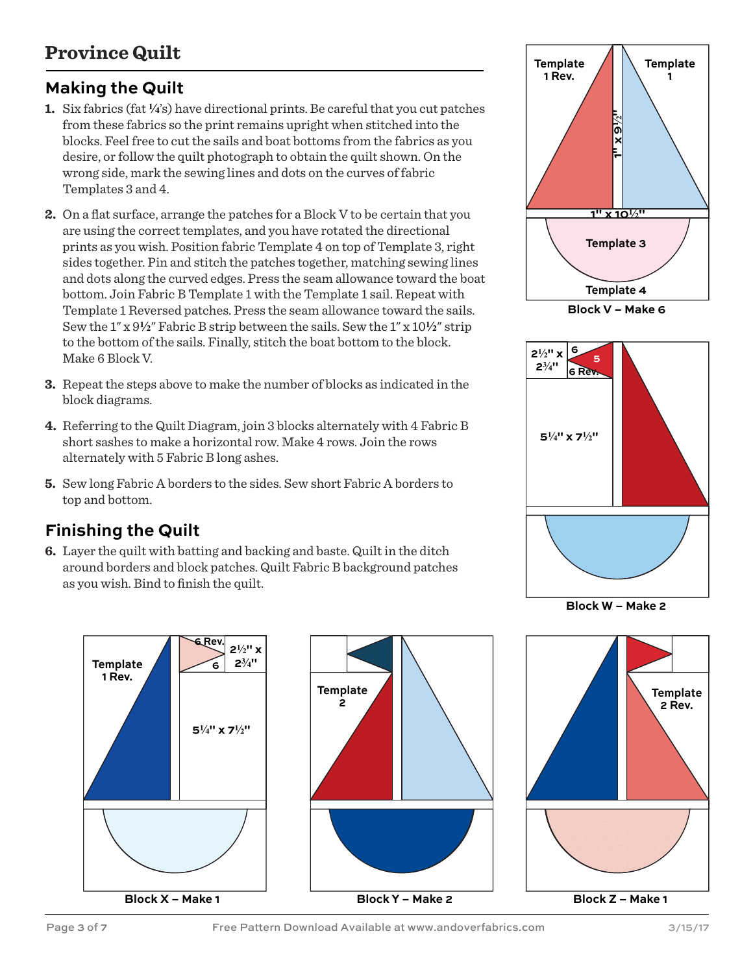## **Province Quilt**

## **Making the Quilt**

- **1.** Six fabrics (fat **4**'s) have directional prints. Be careful that you cut patches from these fabrics so the print remains upright when stitched into the blocks. Feel free to cut the sails and boat bottoms from the fabrics as you desire, or follow the quilt photograph to obtain the quilt shown. On the wrong side, mark the sewing lines and dots on the curves of fabric Templates 3 and 4.
- **2.** On a flat surface, arrange the patches for a Block V to be certain that you are using the correct templates, and you have rotated the directional prints as you wish. Position fabric Template 4 on top of Template 3, right sides together. Pin and stitch the patches together, matching sewing lines and dots along the curved edges. Press the seam allowance toward the boat bottom. Join Fabric B Template 1 with the Template 1 sail. Repeat with Template 1 Reversed patches. Press the seam allowance toward the sails. Sew the  $1''$  x  $9\frac{1}{2}$ " Fabric B strip between the sails. Sew the  $1''$  x  $10\frac{1}{2}$ " strip to the bottom of the sails. Finally, stitch the boat bottom to the block. Make 6 Block V.
- **3.** Repeat the steps above to make the number of blocks as indicated in the block diagrams.
- **4.** Referring to the Quilt Diagram, join 3 blocks alternately with 4 Fabric B short sashes to make a horizontal row. Make 4 rows. Join the rows alternately with 5 Fabric B long ashes.
- **5.** Sew long Fabric A borders to the sides. Sew short Fabric A borders to top and bottom.

### **Finishing the Quilt**

**6.** Layer the quilt with batting and backing and baste. Quilt in the ditch around borders and block patches. Quilt Fabric B background patches as you wish. Bind to finish the quilt.







**Block W – Make 2**



Page 3 of 7 Free Pattern Download Available at www.andoverfabrics.com 3/15/17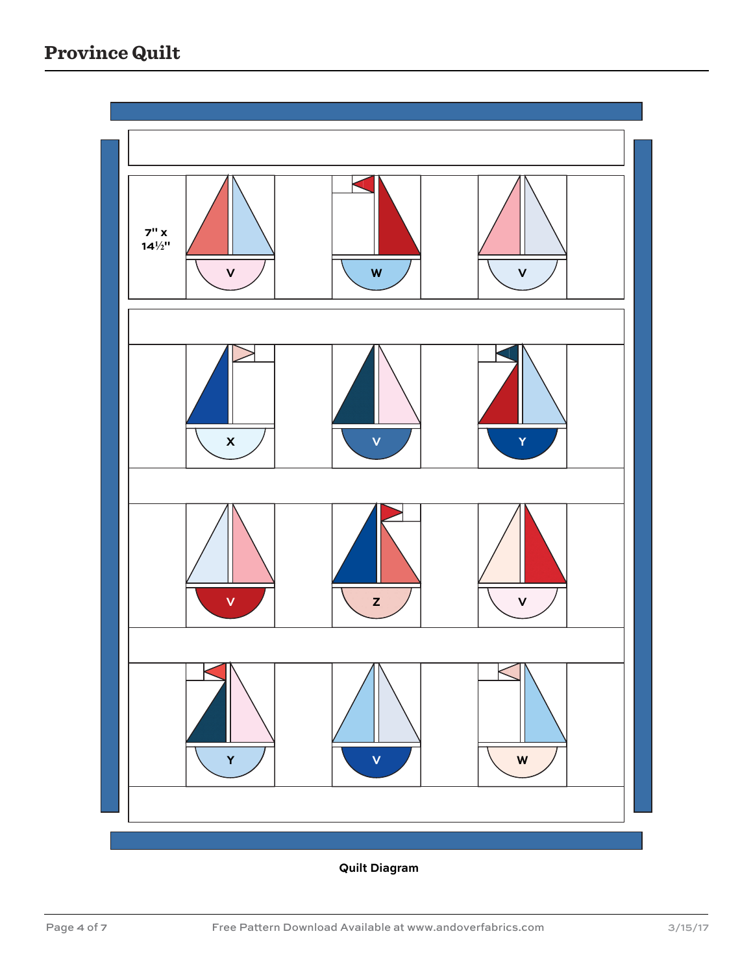

**Quilt Diagram**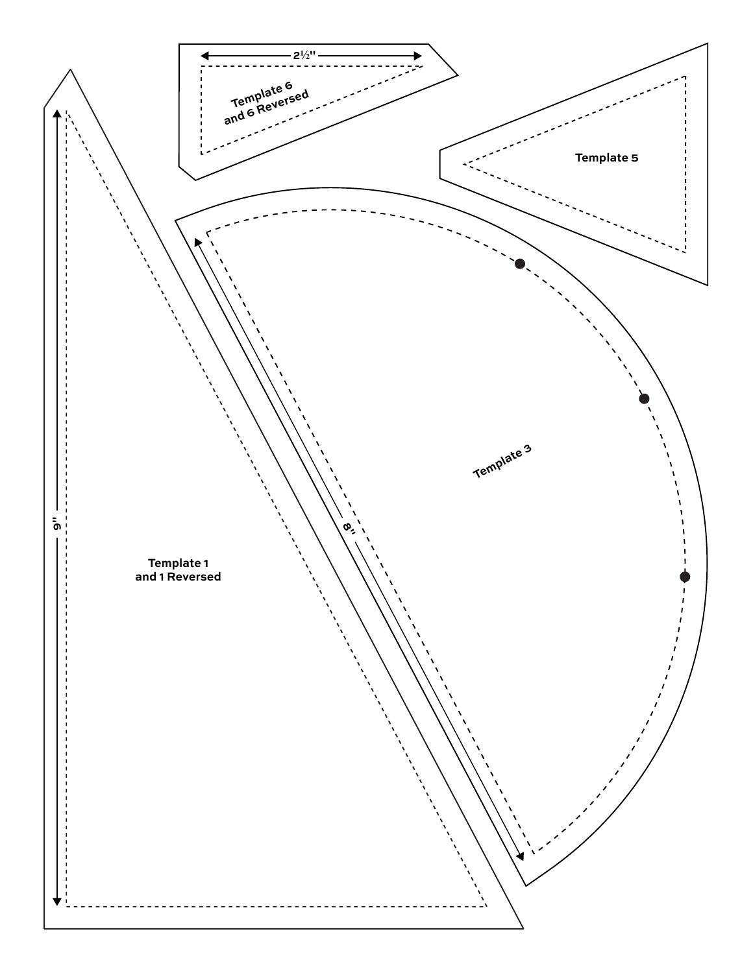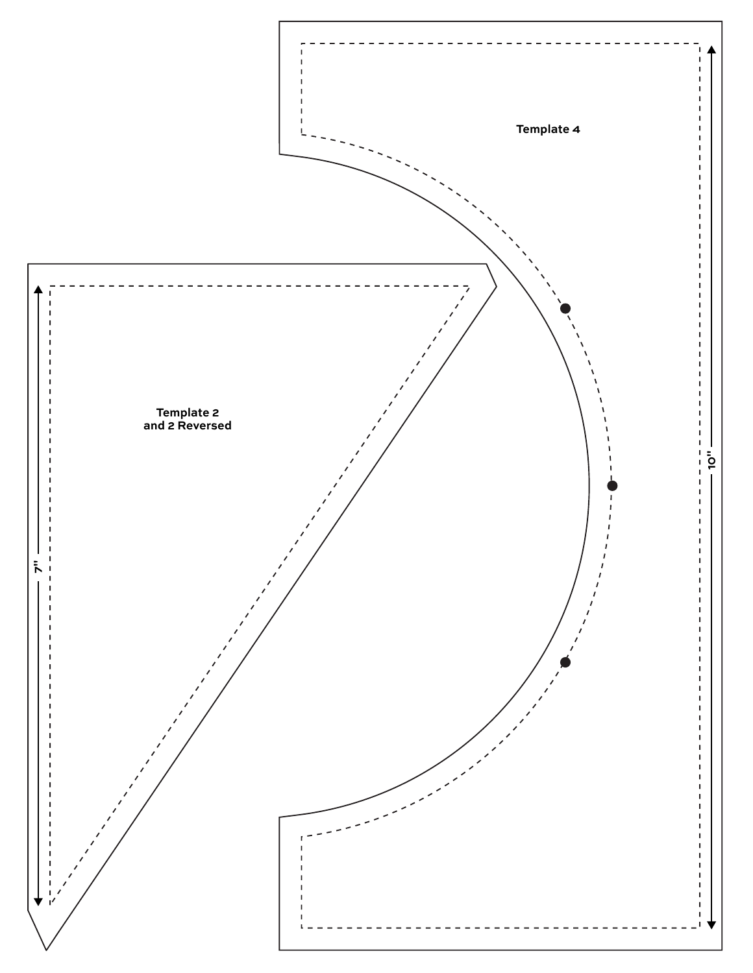